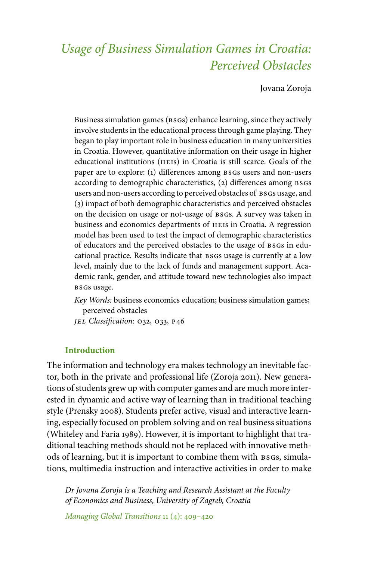# *Usage of Business Simulation Games in Croatia: Perceived Obstacles*

Jovana Zoroja

Business simulation games (BSGs) enhance learning, since they actively involve students in the educational process through game playing. They began to play important role in business education in many universities in Croatia. However, quantitative information on their usage in higher educational institutions (heis) in Croatia is still scarce. Goals of the paper are to explore: (1) differences among BSGs users and non-users according to demographic characteristics, (2) differences among BSGS users and non-users according to perceived obstacles of BSGs usage, and (3) impact of both demographic characteristics and perceived obstacles on the decision on usage or not-usage of bsgs. A survey was taken in business and economics departments of heis in Croatia. A regression model has been used to test the impact of demographic characteristics of educators and the perceived obstacles to the usage of BSGs in educational practice. Results indicate that BSGs usage is currently at a low level, mainly due to the lack of funds and management support. Academic rank, gender, and attitude toward new technologies also impact bsgs usage.

*Key Words:* business economics education; business simulation games; perceived obstacles

*jel Classification:* o32, o33, p46

# **Introduction**

The information and technology era makes technology an inevitable factor, both in the private and professional life (Zoroja 2011). New generations of students grew up with computer games and are much more interested in dynamic and active way of learning than in traditional teaching style (Prensky 2008). Students prefer active, visual and interactive learning, especially focused on problem solving and on real business situations (Whiteley and Faria 1989). However, it is important to highlight that traditional teaching methods should not be replaced with innovative methods of learning, but it is important to combine them with BSGS, simulations, multimedia instruction and interactive activities in order to make

*Dr Jovana Zoroja is a Teaching and Research Assistant at the Faculty of Economics and Business, University of Zagreb, Croatia*

*Managing Global Transitions* 11 (4): 409–420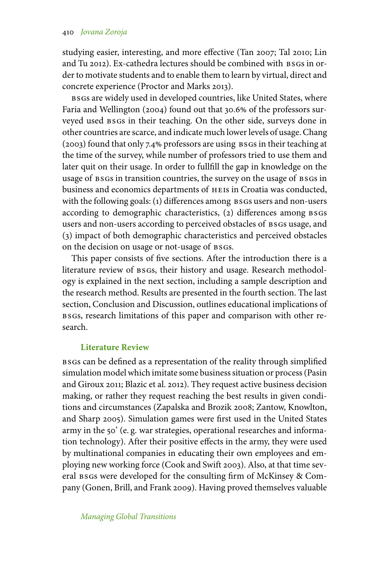studying easier, interesting, and more effective (Tan 2007; Tal 2010; Lin and Tu 2012). Ex-cathedra lectures should be combined with BSGs in order to motivate students and to enable them to learn by virtual, direct and concrete experience (Proctor and Marks 2013).

bsgs are widely used in developed countries, like United States, where Faria and Wellington (2004) found out that 30.6% of the professors surveyed used BSGs in their teaching. On the other side, surveys done in other countries are scarce, and indicate much lower levels of usage. Chang (2003) found that only 7.4 professors are using bsgs in their teaching at the time of the survey, while number of professors tried to use them and later quit on their usage. In order to fullfill the gap in knowledge on the usage of BSGs in transition countries, the survey on the usage of BSGs in business and economics departments of heis in Croatia was conducted, with the following goals: (1) differences among BSGs users and non-users according to demographic characteristics, (2) differences among BSGS users and non-users according to perceived obstacles of BSGs usage, and (3) impact of both demographic characteristics and perceived obstacles on the decision on usage or not-usage of BSGS.

This paper consists of five sections. After the introduction there is a literature review of BSGs, their history and usage. Research methodology is explained in the next section, including a sample description and the research method. Results are presented in the fourth section. The last section, Conclusion and Discussion, outlines educational implications of bsgs, research limitations of this paper and comparison with other research.

# **Literature Review**

bsgs can be defined as a representation of the reality through simplified simulation model which imitate some business situation or process (Pasin and Giroux 2011; Blazic et al. 2012). They request active business decision making, or rather they request reaching the best results in given conditions and circumstances (Zapalska and Brozik 2008; Zantow, Knowlton, and Sharp 2005). Simulation games were first used in the United States army in the 50' (e. g. war strategies, operational researches and information technology). After their positive effects in the army, they were used by multinational companies in educating their own employees and employing new working force (Cook and Swift 2003). Also, at that time several BSGs were developed for the consulting firm of McKinsey & Company (Gonen, Brill, and Frank 2009). Having proved themselves valuable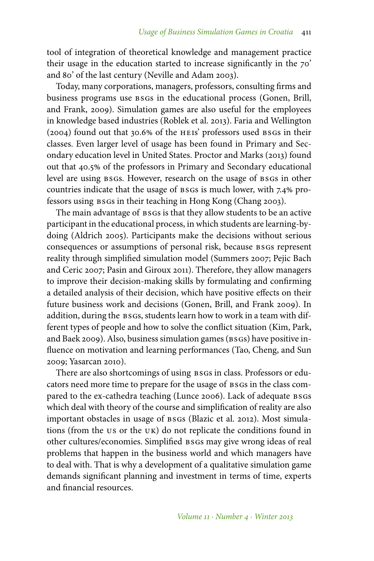tool of integration of theoretical knowledge and management practice their usage in the education started to increase significantly in the 70' and 80' of the last century (Neville and Adam 2003).

Today, many corporations, managers, professors, consulting firms and business programs use bsgs in the educational process (Gonen, Brill, and Frank, 2009). Simulation games are also useful for the employees in knowledge based industries (Roblek et al. 2013). Faria and Wellington (2004) found out that 30.6% of the HEIS' professors used BSGs in their classes. Even larger level of usage has been found in Primary and Secondary education level in United States. Proctor and Marks (2013) found out that 40.5% of the professors in Primary and Secondary educational level are using BSGs. However, research on the usage of BSGs in other countries indicate that the usage of BSGs is much lower, with 7.4% professors using bsgs in their teaching in Hong Kong (Chang 2003).

The main advantage of BSGs is that they allow students to be an active participant in the educational process, in which students are learning-bydoing (Aldrich 2005). Participants make the decisions without serious consequences or assumptions of personal risk, because bsgs represent reality through simplified simulation model (Summers 2007; Pejic Bach and Ceric 2007; Pasin and Giroux 2011). Therefore, they allow managers to improve their decision-making skills by formulating and confirming a detailed analysis of their decision, which have positive effects on their future business work and decisions (Gonen, Brill, and Frank 2009). In addition, during the BSGs, students learn how to work in a team with different types of people and how to solve the conflict situation (Kim, Park, and Baek 2009). Also, business simulation games (BSGs) have positive influence on motivation and learning performances (Tao, Cheng, and Sun 2009; Yasarcan 2010).

There are also shortcomings of using BSGs in class. Professors or educators need more time to prepare for the usage of BSGs in the class compared to the ex-cathedra teaching (Lunce 2006). Lack of adequate BSGS which deal with theory of the course and simplification of reality are also important obstacles in usage of BSGs (Blazic et al. 2012). Most simulations (from the us or the uk) do not replicate the conditions found in other cultures/economies. Simplified bsgs may give wrong ideas of real problems that happen in the business world and which managers have to deal with. That is why a development of a qualitative simulation game demands significant planning and investment in terms of time, experts and financial resources.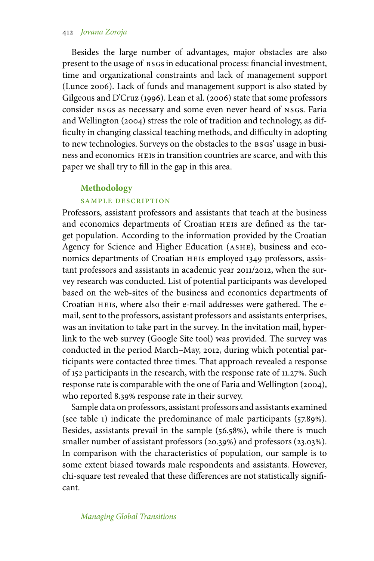## 412 *Jovana Zoroja*

Besides the large number of advantages, major obstacles are also present to the usage of  $BSGs$  in educational process: financial investment, time and organizational constraints and lack of management support (Lunce 2006). Lack of funds and management support is also stated by Gilgeous and D'Cruz (1996). Lean et al. (2006) state that some professors consider BSGs as necessary and some even never heard of NSGs. Faria and Wellington (2004) stress the role of tradition and technology, as difficulty in changing classical teaching methods, and difficulty in adopting to new technologies. Surveys on the obstacles to the BSGs' usage in business and economics heis in transition countries are scarce, and with this paper we shall try to fill in the gap in this area.

#### **Methodology**

# sample description

Professors, assistant professors and assistants that teach at the business and economics departments of Croatian heis are defined as the target population. According to the information provided by the Croatian Agency for Science and Higher Education (ASHE), business and economics departments of Croatian heis employed 1349 professors, assistant professors and assistants in academic year 2011/2012, when the survey research was conducted. List of potential participants was developed based on the web-sites of the business and economics departments of Croatian HEIS, where also their e-mail addresses were gathered. The email, sent to the professors, assistant professors and assistants enterprises, was an invitation to take part in the survey. In the invitation mail, hyperlink to the web survey (Google Site tool) was provided. The survey was conducted in the period March–May, 2012, during which potential participants were contacted three times. That approach revealed a response of 152 participants in the research, with the response rate of 11.27%. Such response rate is comparable with the one of Faria and Wellington (2004), who reported 8.39% response rate in their survey.

Sample data on professors, assistant professors and assistants examined (see table 1) indicate the predominance of male participants  $(57.89\%)$ . Besides, assistants prevail in the sample  $(56.58%)$ , while there is much smaller number of assistant professors (20.39%) and professors (23.03%). In comparison with the characteristics of population, our sample is to some extent biased towards male respondents and assistants. However, chi-square test revealed that these differences are not statistically significant.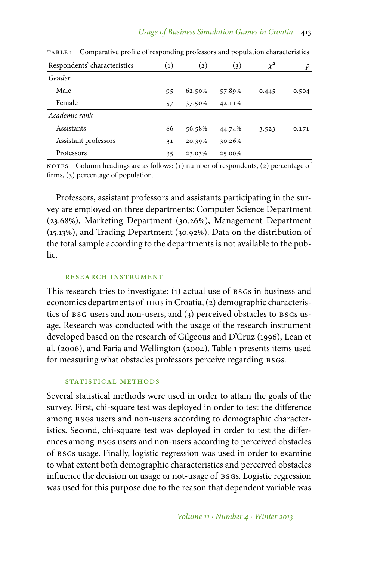| Respondents' characteristics | $\left( 1\right)$ | $\left( 2\right)$ | (3)    | $\chi^2$ | p     |
|------------------------------|-------------------|-------------------|--------|----------|-------|
| Gender                       |                   |                   |        |          |       |
| Male                         | 95                | 62.50%            | 57.89% | 0.445    | 0.504 |
| Female                       | 57                | 37.50%            | 42.11% |          |       |
| Academic rank                |                   |                   |        |          |       |
| Assistants                   | 86                | 56.58%            | 44.74% | 3.523    | 0.171 |
| Assistant professors         | 31                | 20.39%            | 30.26% |          |       |
| Professors                   | 35                | 23.03%            | 25.00% |          |       |

table 1 Comparative profile of responding professors and population characteristics

NOTES Column headings are as follows:  $(1)$  number of respondents,  $(2)$  percentage of firms,  $(3)$  percentage of population.

Professors, assistant professors and assistants participating in the survey are employed on three departments: Computer Science Department (23.68%), Marketing Department (30.26%), Management Department  $(15.13\%)$ , and Trading Department  $(30.92\%)$ . Data on the distribution of the total sample according to the departments is not available to the public.

#### research instrument

This research tries to investigate: (1) actual use of BSGs in business and economics departments of heis in Croatia, (2) demographic characteristics of BSG users and non-users, and (3) perceived obstacles to BSGs usage. Research was conducted with the usage of the research instrument developed based on the research of Gilgeous and D'Cruz (1996), Lean et al. (2006), and Faria and Wellington (2004). Table 1 presents items used for measuring what obstacles professors perceive regarding BSGs.

## STATISTICAL METHODS

Several statistical methods were used in order to attain the goals of the survey. First, chi-square test was deployed in order to test the difference among BSGs users and non-users according to demographic characteristics. Second, chi-square test was deployed in order to test the differences among BSGs users and non-users according to perceived obstacles of BSGs usage. Finally, logistic regression was used in order to examine to what extent both demographic characteristics and perceived obstacles influence the decision on usage or not-usage of BSGs. Logistic regression was used for this purpose due to the reason that dependent variable was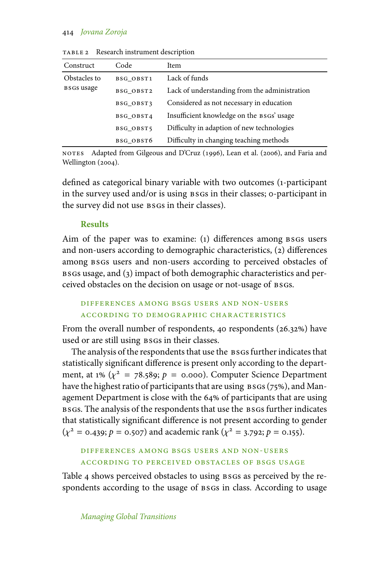## 414 *Jovana Zoroja*

| Construct                         | Code      | Item                                          |
|-----------------------------------|-----------|-----------------------------------------------|
| Obstacles to<br><b>BSGS</b> usage | BSG OBST1 | Lack of funds                                 |
|                                   | BSG OBST2 | Lack of understanding from the administration |
|                                   | BSG OBST3 | Considered as not necessary in education      |
|                                   | BSG OBST4 | Insufficient knowledge on the BSGS' usage     |
|                                   | BSG OBST5 | Difficulty in adaption of new technologies    |
|                                   | BSG OBST6 | Difficulty in changing teaching methods       |

table 2 Research instrument description

NOTES Adapted from Gilgeous and D'Cruz (1996), Lean et al. (2006), and Faria and Wellington (2004).

defined as categorical binary variable with two outcomes (1-participant in the survey used and/or is using bsgs in their classes; 0-participant in the survey did not use BSGS in their classes).

# **Results**

Aim of the paper was to examine: (1) differences among bsgs users and non-users according to demographic characteristics, (2) differences among BSGs users and non-users according to perceived obstacles of bsgs usage, and (3) impact of both demographic characteristics and perceived obstacles on the decision on usage or not-usage of BSGs.

# differences among bsgs users and non-users according to demographic characteristics

From the overall number of respondents, 40 respondents  $(26.32%)$  have used or are still using BSGs in their classes.

The analysis of the respondents that use the BSGs further indicates that statistically significant difference is present only according to the department, at 1%  $(\chi^2 = 78.589; p = 0.000)$ . Computer Science Department have the highest ratio of participants that are using  $BSGS$  (75%), and Management Department is close with the 64% of participants that are using bsgs. The analysis of the respondents that use the bsgs further indicates that statistically significant difference is not present according to gender  $(\chi^2 = 0.439; p = 0.507)$  and academic rank  $(\chi^2 = 3.792; p = 0.155)$ .

# differences among bsgs users and non-users according to perceived obstacles of bsgs usage

Table 4 shows perceived obstacles to using BSGs as perceived by the respondents according to the usage of  $s$ sgs in class. According to usage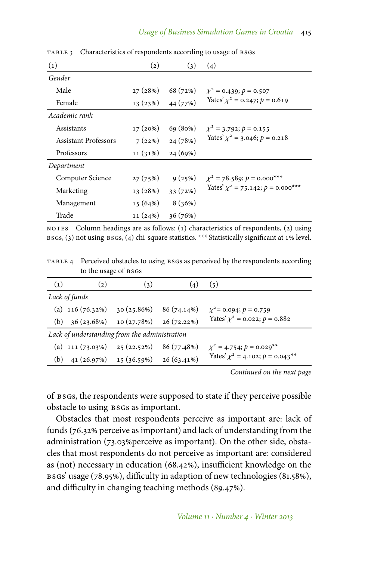| (1)                         | $\left( 2\right)$ | (3)      | (4)                                         |
|-----------------------------|-------------------|----------|---------------------------------------------|
| Gender                      |                   |          |                                             |
| Male                        | 27(28%)           | 68 (72%) | $\chi^2$ = 0.439; $p = 0.507$               |
| Female                      | 13(23%)           | 44 (77%) | Yates' $\chi^2$ = 0.247; $p$ = 0.619        |
| Academic rank               |                   |          |                                             |
| Assistants                  | 17(20%)           | 69(80%)  | $\chi^2 = 3.792$ ; $p = 0.155$              |
| <b>Assistant Professors</b> | 7(22%)            | 24(78%)  | Yates' $\chi^2$ = 3.046; $p = 0.218$        |
| Professors                  | 11(31%)           | 24(69%)  |                                             |
| Department                  |                   |          |                                             |
| Computer Science            | 27(75%)           | 9(25%)   | $\chi^2$ = 78.589; p = 0.000***             |
| Marketing                   | 13(28%)           | 33(72%)  | Yates' $\chi^2$ = 75.142; $p = 0.000^{***}$ |
| Management                  | 15(64%)           | 8(36%)   |                                             |
| Trade                       | 11(24%)           | 36(76%)  |                                             |

TABLE 3 Characteristics of respondents according to usage of BSGs

NOTES Column headings are as follows:  $(1)$  characteristics of respondents,  $(2)$  using  $BSGs$ , (3) not using  $BSGs$ , (4) chi-square statistics. \*\*\* Statistically significant at  $1\%$  level.

table 4 Perceived obstacles to using bsgs as perceived by the respondents according to the usage of BSGS

| (1)                                           | $\left( 2\right)$                  | (3)        | (4)           | (5)                                    |
|-----------------------------------------------|------------------------------------|------------|---------------|----------------------------------------|
|                                               | Lack of funds                      |            |               |                                        |
|                                               | (a) $116(76.32\%)$                 | 30(25.86%) | 86 (74.14%)   | $\chi^2$ = 0.094; $p = 0.759$          |
| (b)                                           | 36 (23.68%)                        | 10(27.78%) | $26(72.22\%)$ | Yates' $\chi^2$ = 0.022; $p$ = 0.882   |
| Lack of understanding from the administration |                                    |            |               |                                        |
|                                               | (a) $111 (73.03\%)$ $25 (22.52\%)$ |            | 86 (77.48%)   | $\chi^2$ = 4.754; $p = 0.029^{**}$     |
| (b)                                           | $41(26.97%)$ $15(36.59%)$          |            | $26(63.41\%)$ | Yates' $\chi^2$ = 4.102; $p = 0.043**$ |

*Continued on the next page*

of bsgs, the respondents were supposed to state if they perceive possible obstacle to using BSGs as important.

Obstacles that most respondents perceive as important are: lack of funds (76.32% perceive as important) and lack of understanding from the administration (73.03% perceive as important). On the other side, obstacles that most respondents do not perceive as important are: considered as (not) necessary in education (68.42%), insufficient knowledge on the BSGs' usage (78.95%), difficulty in adaption of new technologies (81.58%), and difficulty in changing teaching methods (89.47%).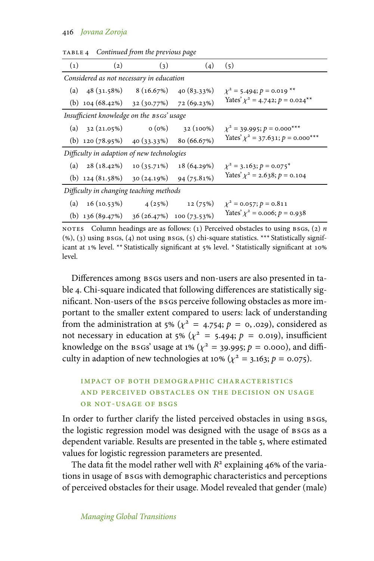| $\left( 1\right)$                          | $\left( 2\right)$                            | (3)                      | (4)         | (5)                                                        |  |
|--------------------------------------------|----------------------------------------------|--------------------------|-------------|------------------------------------------------------------|--|
| Considered as not necessary in education   |                                              |                          |             |                                                            |  |
| (a)                                        |                                              | $48(31.58%)$ $8(16.67%)$ | 40(83.33%)  | $\chi^2$ = 5.494; $p = 0.019$ **                           |  |
|                                            | (b) $104(68.42%)$ $32(30.77%)$ $72(69.23%)$  |                          |             | Yates' $\chi^2$ = 4.742; $p = 0.024$ <sup>**</sup>         |  |
|                                            | Insufficient knowledge on the BSGs' usage    |                          |             |                                                            |  |
| (a)                                        | 32 (21.05%)                                  | $0(0\%)$                 | $32(100\%)$ | $\chi^2$ = 39.995; $p = 0.000^{***}$                       |  |
|                                            | (b) $120 (78.95%)$ $40 (33.33%)$             |                          | 80(66.67%)  | Yates' $\chi^2$ = 37.631; $p = 0.000^{***}$                |  |
| Difficulty in adaption of new technologies |                                              |                          |             |                                                            |  |
|                                            | (a) $28(18.42\%)$ 10 (35.71%)                |                          |             | 18 (64.29%) $\chi^2 = 3.163$ ; $p = 0.075$ <sup>*</sup>    |  |
|                                            | (b) $124(81.58%)$ $30(24.19%)$ $94(75.81%)$  |                          |             | Yates' $\chi^2$ = 2.638; $p$ = 0.104                       |  |
| Difficulty in changing teaching methods    |                                              |                          |             |                                                            |  |
| (a)                                        |                                              |                          |             | 16 (10.53%) $4(25\%)$ 12 (75%) $\chi^2 = 0.057; p = 0.811$ |  |
|                                            | (b) $136(89.47%)$ $36(26.47%)$ $100(73.53%)$ |                          |             | Yates' $\chi^2$ = 0.006; $p$ = 0.938                       |  |

table 4 *Continued from the previous page*

notes Column headings are as follows: (1) Perceived obstacles to using  $BSGs$ , (2) *n*  $(\%)$ , (3) using BSGs, (4) not using BSGs, (5) chi-square statistics. \*\*\* Statistically significant at 1% level. \*\* Statistically significant at 5% level. \* Statistically significant at 10% level.

Differences among bsgs users and non-users are also presented in table 4. Chi-square indicated that following differences are statistically significant. Non-users of the bsgs perceive following obstacles as more important to the smaller extent compared to users: lack of understanding from the administration at 5% ( $\chi^2$  = 4.754;  $p$  = 0, .029), considered as not necessary in education at 5% ( $\chi^2$  = 5.494;  $p$  = 0.019), insufficient knowledge on the BSGs' usage at 1% ( $\chi^2$  = 39.995;  $p$  = 0.000), and difficulty in adaption of new technologies at 10% ( $\chi^2$  = 3.163; *p* = 0.075).

# impact of both demographic characteristics and perceived obstacles on the decision on usage or not-usage of bsgs

In order to further clarify the listed perceived obstacles in using BSGS, the logistic regression model was designed with the usage of BSGs as a dependent variable. Results are presented in the table 5, where estimated values for logistic regression parameters are presented.

The data fit the model rather well with  $R^2$  explaining 46% of the variations in usage of BSGs with demographic characteristics and perceptions of perceived obstacles for their usage. Model revealed that gender (male)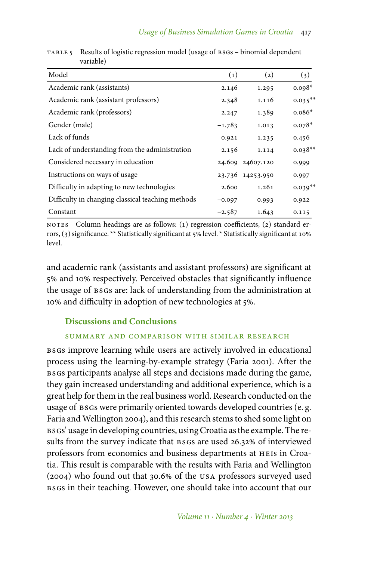| Model                                             | $\left( 1\right)$ | $\left( 2\right)$ | (3)        |
|---------------------------------------------------|-------------------|-------------------|------------|
| Academic rank (assistants)                        | 2.146             | 1.295             | $0.098*$   |
| Academic rank (assistant professors)              | 2.348             | 1.116             | $0.035***$ |
| Academic rank (professors)                        | 2.247             | 1.389             | $0.086*$   |
| Gender (male)                                     | $-1.783$          | 1.013             | $0.078*$   |
| Lack of funds                                     | 0.921             | 1.235             | 0.456      |
| Lack of understanding from the administration     | 2.156             | 1.114             | $0.038**$  |
| Considered necessary in education                 |                   | 24.609 24607.120  | 0.999      |
| Instructions on ways of usage                     |                   | 23.736 14253.950  | 0.997      |
| Difficulty in adapting to new technologies        | 2.600             | 1.261             | $0.039**$  |
| Difficulty in changing classical teaching methods | $-0.097$          | 0.993             | 0.922      |
| Constant                                          | $-2.587$          | 1.643             | 0.115      |

TABLE 5 Results of logistic regression model (usage of BSGS – binomial dependent variable)

NOTES Column headings are as follows: (1) regression coefficients, (2) standard errors, (3) significance. \*\* Statistically significant at 5% level. \* Statistically significant at 10% level.

and academic rank (assistants and assistant professors) are significant at 5% and 10% respectively. Perceived obstacles that significantly influence the usage of BSGs are: lack of understanding from the administration at 10% and difficulty in adoption of new technologies at 5%.

# **Discussions and Conclusions**

# summary and comparison with similar research

bsgs improve learning while users are actively involved in educational process using the learning-by-example strategy (Faria 2001). After the bsgs participants analyse all steps and decisions made during the game, they gain increased understanding and additional experience, which is a great help for them in the real business world. Research conducted on the usage of BSGs were primarily oriented towards developed countries (e.g. Faria and Wellington 2004), and this research stems to shed some light on bsgs' usage in developing countries, using Croatia as the example. The results from the survey indicate that BSGs are used 26.32% of interviewed professors from economics and business departments at heis in Croatia. This result is comparable with the results with Faria and Wellington (2004) who found out that 30.6 of the usa professors surveyed used bsgs in their teaching. However, one should take into account that our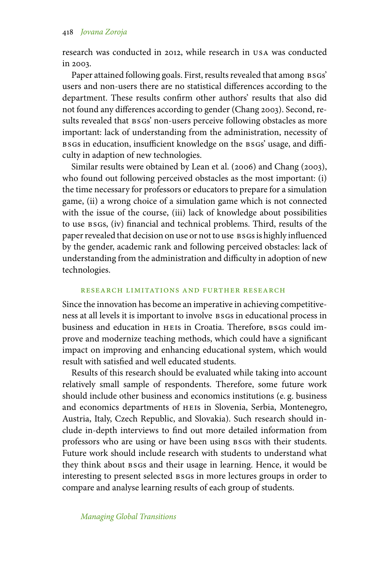research was conducted in 2012, while research in usa was conducted in 2003.

Paper attained following goals. First, results revealed that among BSGS' users and non-users there are no statistical differences according to the department. These results confirm other authors' results that also did not found any differences according to gender (Chang 2003). Second, results revealed that  $\n *B* s s s' non-user service following obstacles as more$ important: lack of understanding from the administration, necessity of bsgs in education, insufficient knowledge on the bsgs' usage, and difficulty in adaption of new technologies.

Similar results were obtained by Lean et al. (2006) and Chang (2003), who found out following perceived obstacles as the most important: (i) the time necessary for professors or educators to prepare for a simulation game, (ii) a wrong choice of a simulation game which is not connected with the issue of the course, (iii) lack of knowledge about possibilities to use bsgs, (iv) financial and technical problems. Third, results of the paper revealed that decision on use or not to use BSGs is highly influenced by the gender, academic rank and following perceived obstacles: lack of understanding from the administration and difficulty in adoption of new technologies.

## research limitations and further research

Since the innovation has become an imperative in achieving competitiveness at all levels it is important to involve bsgs in educational process in business and education in HEIS in Croatia. Therefore, BSGS could improve and modernize teaching methods, which could have a significant impact on improving and enhancing educational system, which would result with satisfied and well educated students.

Results of this research should be evaluated while taking into account relatively small sample of respondents. Therefore, some future work should include other business and economics institutions (e. g. business and economics departments of heis in Slovenia, Serbia, Montenegro, Austria, Italy, Czech Republic, and Slovakia). Such research should include in-depth interviews to find out more detailed information from professors who are using or have been using BSGs with their students. Future work should include research with students to understand what they think about bsgs and their usage in learning. Hence, it would be interesting to present selected bsgs in more lectures groups in order to compare and analyse learning results of each group of students.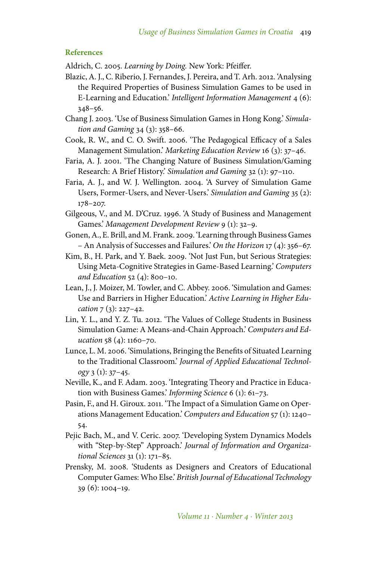#### **References**

Aldrich, C. 2005. *Learning by Doing.* New York: Pfeiffer.

- Blazic, A. J., C. Riberio, J. Fernandes, J. Pereira, and T. Arh. 2012. 'Analysing the Required Properties of Business Simulation Games to be used in E-Learning and Education.' *Intelligent Information Management* 4 (6): 348–56.
- Chang J. 2003. 'Use of Business Simulation Games in Hong Kong.' *Simulation and Gaming* 34 (3): 358–66.
- Cook, R. W., and C. O. Swift. 2006. 'The Pedagogical Efficacy of a Sales Management Simulation.' *Marketing Education Review* 16 (3): 37–46.
- Faria, A. J. 2001. 'The Changing Nature of Business Simulation/Gaming Research: A Brief History.' *Simulation and Gaming* 32 (1): 97–110.
- Faria, A. J., and W. J. Wellington. 2004. 'A Survey of Simulation Game Users, Former-Users, and Never-Users.' *Simulation and Gaming* 35 (2): 178–207.
- Gilgeous, V., and M. D'Cruz. 1996. 'A Study of Business and Management Games.' *Management Development Review* 9 (1): 32–9.
- Gonen, A., E. Brill, and M. Frank. 2009. 'Learning through Business Games – An Analysis of Successes and Failures.' *On the Horizon* 17 (4): 356–67.
- Kim, B., H. Park, and Y. Baek. 2009. 'Not Just Fun, but Serious Strategies: Using Meta-Cognitive Strategies in Game-Based Learning.' *Computers and Education* 52 (4): 800–10.
- Lean, J., J. Moizer, M. Towler, and C. Abbey. 2006. 'Simulation and Games: Use and Barriers in Higher Education.' *Active Learning in Higher Education* 7 (3): 227–42.
- Lin, Y. L., and Y. Z. Tu. 2012. 'The Values of College Students in Business Simulation Game: A Means-and-Chain Approach.' *Computers and Education* 58 (4): 1160–70.
- Lunce, L. M. 2006. 'Simulations, Bringing the Benefits of Situated Learning to the Traditional Classroom.' *Journal of Applied Educational Technology* 3 (1): 37–45.
- Neville, K., and F. Adam. 2003. 'Integrating Theory and Practice in Education with Business Games.' *Informing Science* 6 (1): 61–73.
- Pasin, F., and H. Giroux. 2011. 'The Impact of a Simulation Game on Operations Management Education.' *Computers and Education* 57 (1): 1240– 54.
- Pejic Bach, M., and V. Ceric. 2007. 'Developing System Dynamics Models with "Step-by-Step" Approach.' *Journal of Information and Organizational Sciences* 31 (1): 171–85.
- Prensky, M. 2008. 'Students as Designers and Creators of Educational Computer Games: Who Else.' *British Journal of Educational Technology* 39 (6): 1004–19.